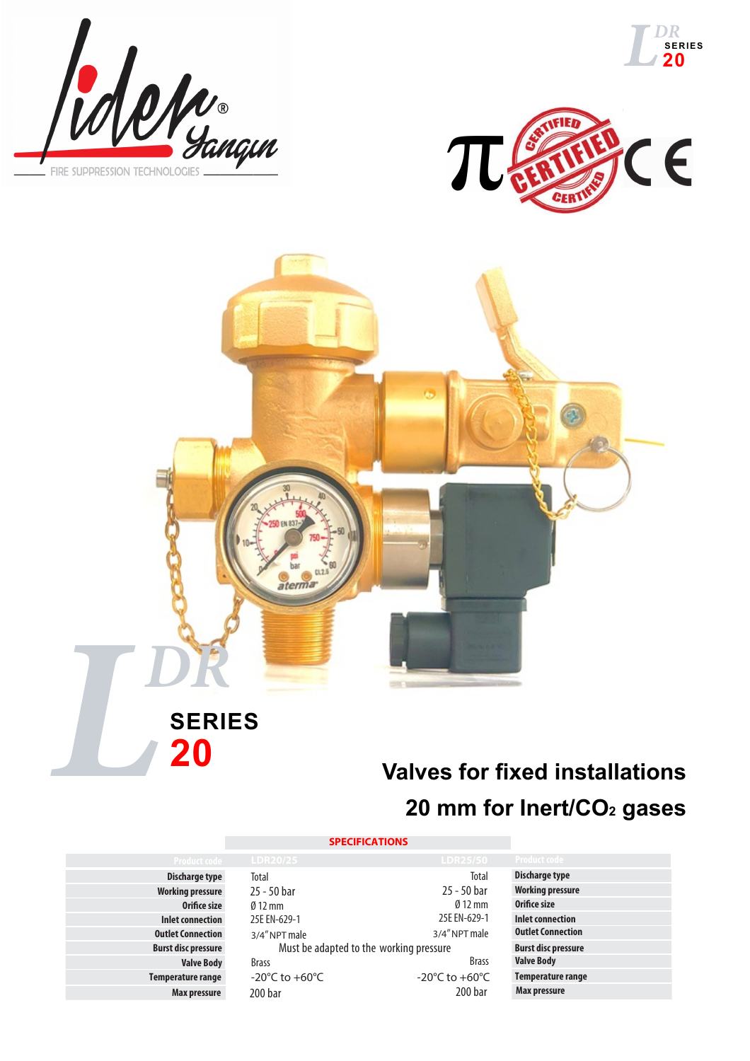







## **20**

## **Valves for fixed installations 20 mm for Inert/CO2 gases**

## **SPECIFICATIONS**

**Discharge type Working pressure Orifi ce size Inlet connection Outlet Connection Burst disc pressure Valve Body** B **Temperature range** + **Max pressure** 2

| .                                       | ---------                          |  |  |  |
|-----------------------------------------|------------------------------------|--|--|--|
| Total                                   | <b>Total</b>                       |  |  |  |
| 25 - 50 bar                             | 25 - 50 bar                        |  |  |  |
| $\emptyset$ 12 mm                       | $\emptyset$ 12 mm                  |  |  |  |
| 25E EN-629-1                            | 25E EN-629-1                       |  |  |  |
| 3/4" NPT male                           | 3/4" NPT male                      |  |  |  |
| Must be adapted to the working pressure |                                    |  |  |  |
| <b>Brass</b>                            | <b>Brass</b>                       |  |  |  |
| -20 $^{\circ}$ C to +60 $^{\circ}$ C    | -20 $\degree$ C to +60 $\degree$ C |  |  |  |
| 200 bar                                 | 200 <sub>bar</sub>                 |  |  |  |
|                                         |                                    |  |  |  |

|  | <b>Product code</b>        |
|--|----------------------------|
|  | <b>Discharge type</b>      |
|  | <b>Working pressure</b>    |
|  | Orifice size               |
|  | <b>Inlet connection</b>    |
|  | <b>Outlet Connection</b>   |
|  | <b>Burst disc pressure</b> |
|  | <b>Valve Body</b>          |
|  | <b>Temperature range</b>   |
|  | Max pressure               |
|  |                            |